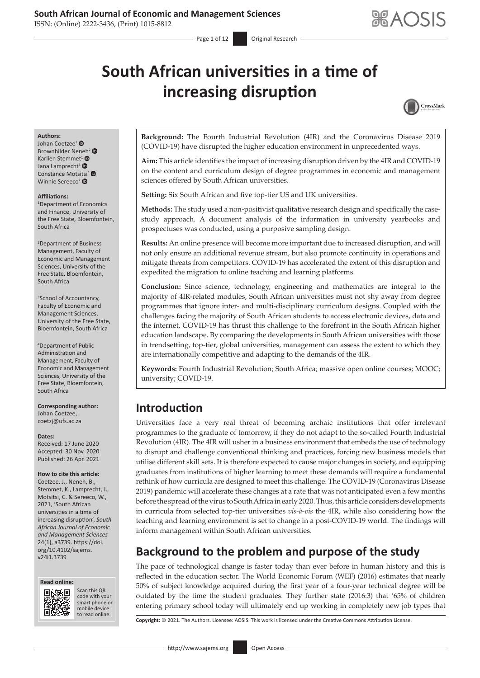ISSN: (Online) 2222-3436, (Print) 1015-8812

# **South African universities in a time of increasing disruption**



#### **Authors:**

Johan Coetzee1 Brownhilder Nen[eh](https://orcid.org/0000-0003-2880-2294)<sup>[2](https://orcid.org/0000-0001-8469-2531)</sup> <sup>®</sup> Karlien S[t](https://orcid.org/0000-0003-1891-3417)emmet<sup>1</sup> Jana Lamprecht<sup>3</sup> <sup>O</sup> Constance Mots[itsi](https://orcid.org/0000-0003-0167-1183)<sup>4</sup> <sup>O</sup> Winnie Sereeco<sup>2</sup> ®

#### **Affiliations:**

1 Department of Economics and Finance, University of the Free State, Bloemfontein, South Africa

2 Department of Business Management, Faculty of Economic and Management Sciences, University of the Free State, Bloemfontein, South Africa

3 School of Accountancy, Faculty of Economic and Management Sciences, University of the Free State, Bloemfontein, South Africa

4 Department of Public Administration and Management, Faculty of Economic and Management Sciences, University of the Free State, Bloemfontein, South Africa

**Corresponding author:** Johan Coetzee, [coetzj@ufs.ac.za](mailto:coetzj@ufs.ac.za)

#### **Dates:**

Received: 17 June 2020 Accepted: 30 Nov. 2020 Published: 26 Apr. 2021

#### **How to cite this article:**

Coetzee, J., Neneh, B., Stemmet, K., Lamprecht, J., Motsitsi, C. & Sereeco, W., 2021, 'South African universities in a time of increasing disruption', *South African Journal of Economic and Management Sciences* 24(1), a3739. [https://doi.](https://doi.org/10.4102/sajems.v24i1.3739) [org/10.4102/sajems.](https://doi.org/10.4102/sajems.v24i1.3739) [v24i1.3739](https://doi.org/10.4102/sajems.v24i1.3739)





Scan this QR Scan this QR code with your smart phone or code with your smart phone or mobile device mobile device to read online. to read online.

**Background:** The Fourth Industrial Revolution (4IR) and the Coronavirus Disease 2019 (COVID-19) have disrupted the higher education environment in unprecedented ways.

**Aim:** This article identifies the impact of increasing disruption driven by the 4IR and COVID-19 on the content and curriculum design of degree programmes in economic and management sciences offered by South African universities.

**Setting:** Six South African and five top-tier US and UK universities.

**Methods:** The study used a non-positivist qualitative research design and specifically the casestudy approach. A document analysis of the information in university yearbooks and prospectuses was conducted, using a purposive sampling design.

**Results:** An online presence will become more important due to increased disruption, and will not only ensure an additional revenue stream, but also promote continuity in operations and mitigate threats from competitors. COVID-19 has accelerated the extent of this disruption and expedited the migration to online teaching and learning platforms.

**Conclusion:** Since science, technology, engineering and mathematics are integral to the majority of 4IR-related modules, South African universities must not shy away from degree programmes that ignore inter- and multi-disciplinary curriculum designs. Coupled with the challenges facing the majority of South African students to access electronic devices, data and the internet, COVID-19 has thrust this challenge to the forefront in the South African higher education landscape. By comparing the developments in South African universities with those in trendsetting, top-tier, global universities, management can assess the extent to which they are internationally competitive and adapting to the demands of the 4IR.

**Keywords:** Fourth Industrial Revolution; South Africa; massive open online courses; MOOC; university; COVID-19.

# **Introduction**

Universities face a very real threat of becoming archaic institutions that offer irrelevant programmes to the graduate of tomorrow, if they do not adapt to the so-called Fourth Industrial Revolution (4IR). The 4IR will usher in a business environment that embeds the use of technology to disrupt and challenge conventional thinking and practices, forcing new business models that utilise different skill sets. It is therefore expected to cause major changes in society, and equipping graduates from institutions of higher learning to meet these demands will require a fundamental rethink of how curricula are designed to meet this challenge. The COVID-19 (Coronavirus Disease 2019) pandemic will accelerate these changes at a rate that was not anticipated even a few months before the spread of the virus to South Africa in early 2020. Thus, this article considers developments in curricula from selected top-tier universities *vis-à-vis* the 4IR, while also considering how the teaching and learning environment is set to change in a post-COVID-19 world. The findings will inform management within South African universities.

# **Background to the problem and purpose of the study**

The pace of technological change is faster today than ever before in human history and this is reflected in the education sector. The World Economic Forum (WEF) (2016) estimates that nearly 50% of subject knowledge acquired during the first year of a four-year technical degree will be outdated by the time the student graduates. They further state (2016:3) that '65% of children entering primary school today will ultimately end up working in completely new job types that

**Copyright:** © 2021. The Authors. Licensee: AOSIS. This work is licensed under the Creative Commons Attribution License.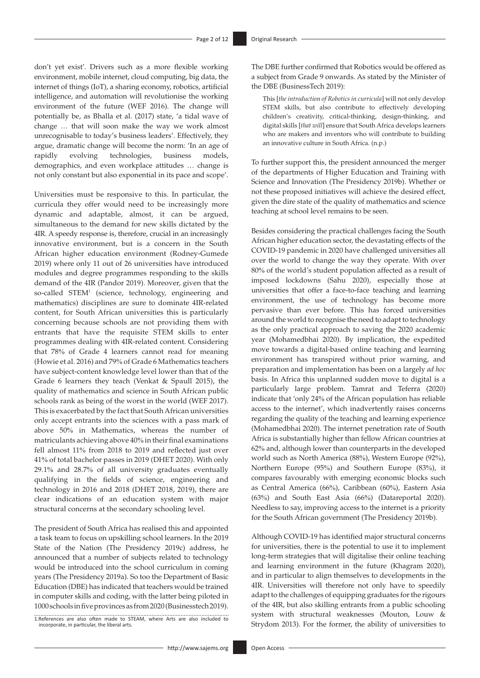don't yet exist'. Drivers such as a more flexible working environment, mobile internet, cloud computing, big data, the internet of things (IoT), a sharing economy, robotics, artificial intelligence, and automation will revolutionise the working environment of the future (WEF 2016). The change will potentially be, as Bhalla et al. (2017) state, 'a tidal wave of change … that will soon make the way we work almost unrecognisable to today's business leaders'. Effectively, they argue, dramatic change will become the norm: 'In an age of rapidly evolving technologies, business models, demographics, and even workplace attitudes … change is not only constant but also exponential in its pace and scope'.

Universities must be responsive to this. In particular, the curricula they offer would need to be increasingly more dynamic and adaptable, almost, it can be argued, simultaneous to the demand for new skills dictated by the 4IR. A speedy response is, therefore, crucial in an increasingly innovative environment, but is a concern in the South African higher education environment (Rodney-Gumede 2019) where only 11 out of 26 universities have introduced modules and degree programmes responding to the skills demand of the 4IR (Pandor 2019). Moreover, given that the so-called STEM<sup>1</sup> (science, technology, engineering and mathematics) disciplines are sure to dominate 4IR-related content, for South African universities this is particularly concerning because schools are not providing them with entrants that have the requisite STEM skills to enter programmes dealing with 4IR-related content. Considering that 78% of Grade 4 learners cannot read for meaning (Howie et al. 2016) and 79% of Grade 6 Mathematics teachers have subject-content knowledge level lower than that of the Grade 6 learners they teach (Venkat & Spaull 2015), the quality of mathematics and science in South African public schools rank as being of the worst in the world (WEF 2017). This is exacerbated by the fact that South African universities only accept entrants into the sciences with a pass mark of above 50% in Mathematics, whereas the number of matriculants achieving above 40% in their final examinations fell almost 11% from 2018 to 2019 and reflected just over 41% of total bachelor passes in 2019 (DHET 2020). With only 29.1% and 28.7% of all university graduates eventually qualifying in the fields of science, engineering and technology in 2016 and 2018 (DHET 2018, 2019), there are clear indications of an education system with major structural concerns at the secondary schooling level.

The president of South Africa has realised this and appointed a task team to focus on upskilling school learners. In the 2019 State of the Nation (The Presidency 2019c) address, he announced that a number of subjects related to technology would be introduced into the school curriculum in coming years (The Presidency 2019a). So too the Department of Basic Education (DBE) has indicated that teachers would be trained in computer skills and coding, with the latter being piloted in 1000 schools in five provinces as from 2020 (Businesstech 2019).

1.References are also often made to STEAM, where Arts are also included to incorporate, in particular, the liberal arts.

The DBE further confirmed that Robotics would be offered as a subject from Grade 9 onwards. As stated by the Minister of the DBE (BusinessTech 2019):

This [*the introduction of Robotics in curricula*] will not only develop STEM skills, but also contribute to effectively developing children's creativity, critical-thinking, design-thinking, and digital skills [*that will*] ensure that South Africa develops learners who are makers and inventors who will contribute to building an innovative culture in South Africa. (n.p.)

To further support this, the president announced the merger of the departments of Higher Education and Training with Science and Innovation (The Presidency 2019b). Whether or not these proposed initiatives will achieve the desired effect, given the dire state of the quality of mathematics and science teaching at school level remains to be seen.

Besides considering the practical challenges facing the South African higher education sector, the devastating effects of the COVID-19 pandemic in 2020 have challenged universities all over the world to change the way they operate. With over 80% of the world's student population affected as a result of imposed lockdowns (Sahu 2020), especially those at universities that offer a face-to-face teaching and learning environment, the use of technology has become more pervasive than ever before. This has forced universities around the world to recognise the need to adapt to technology as the only practical approach to saving the 2020 academic year (Mohamedbhai 2020). By implication, the expedited move towards a digital-based online teaching and learning environment has transpired without prior warning, and preparation and implementation has been on a largely *ad hoc* basis. In Africa this unplanned sudden move to digital is a particularly large problem. Tamrat and Teferra (2020) indicate that 'only 24% of the African population has reliable access to the internet', which inadvertently raises concerns regarding the quality of the teaching and learning experience (Mohamedbhai 2020). The internet penetration rate of South Africa is substantially higher than fellow African countries at 62% and, although lower than counterparts in the developed world such as North America (88%), Western Europe (92%), Northern Europe (95%) and Southern Europe (83%), it compares favourably with emerging economic blocks such as Central America (66%), Caribbean (60%), Eastern Asia (63%) and South East Asia (66%) (Datareportal 2020). Needless to say, improving access to the internet is a priority for the South African government (The Presidency 2019b).

Although COVID-19 has identified major structural concerns for universities, there is the potential to use it to implement long-term strategies that will digitalise their online teaching and learning environment in the future (Khagram 2020), and in particular to align themselves to developments in the 4IR. Universities will therefore not only have to speedily adapt to the challenges of equipping graduates for the rigours of the 4IR, but also skilling entrants from a public schooling system with structural weaknesses (Mouton, Louw & Strydom 2013). For the former, the ability of universities to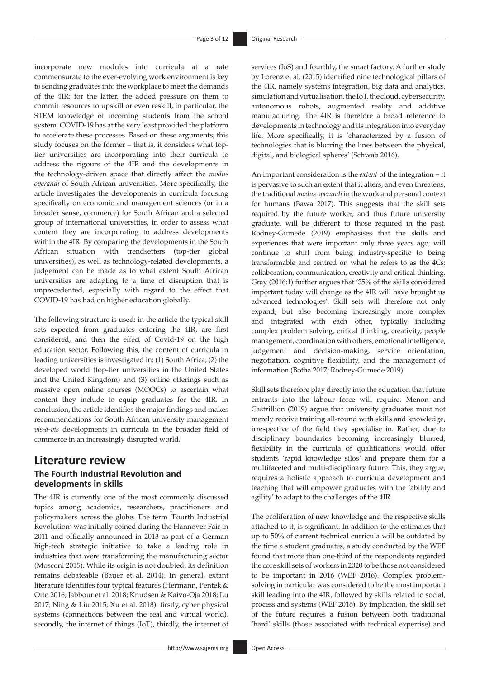incorporate new modules into curricula at a rate commensurate to the ever-evolving work environment is key to sending graduates into the workplace to meet the demands of the 4IR; for the latter, the added pressure on them to commit resources to upskill or even reskill, in particular, the STEM knowledge of incoming students from the school system. COVID-19 has at the very least provided the platform to accelerate these processes. Based on these arguments, this study focuses on the former – that is, it considers what toptier universities are incorporating into their curricula to address the rigours of the 4IR and the developments in the technology-driven space that directly affect the *modus operandi* of South African universities. More specifically, the article investigates the developments in curricula focusing specifically on economic and management sciences (or in a broader sense, commerce) for South African and a selected group of international universities, in order to assess what content they are incorporating to address developments within the 4IR. By comparing the developments in the South African situation with trendsetters (top-tier global universities), as well as technology-related developments, a judgement can be made as to what extent South African universities are adapting to a time of disruption that is unprecedented, especially with regard to the effect that COVID-19 has had on higher education globally.

The following structure is used: in the article the typical skill sets expected from graduates entering the 4IR, are first considered, and then the effect of Covid-19 on the high education sector. Following this, the content of curricula in leading universities is investigated in: (1) South Africa, (2) the developed world (top-tier universities in the United States and the United Kingdom) and (3) online offerings such as massive open online courses (MOOCs) to ascertain what content they include to equip graduates for the 4IR. In conclusion, the article identifies the major findings and makes recommendations for South African university management *vis-à-vis* developments in curricula in the broader field of commerce in an increasingly disrupted world.

### **Literature review The Fourth Industrial Revolution and developments in skills**

The 4IR is currently one of the most commonly discussed topics among academics, researchers, practitioners and policymakers across the globe. The term 'Fourth Industrial Revolution' was initially coined during the Hannover Fair in 2011 and officially announced in 2013 as part of a German high-tech strategic initiative to take a leading role in industries that were transforming the manufacturing sector (Mosconi 2015). While its origin is not doubted, its definition remains debateable (Bauer et al. 2014). In general, extant literature identifies four typical features (Hermann, Pentek & Otto 2016; Jabbour et al. 2018; Knudsen & Kaivo-Oja 2018; Lu 2017; Ning & Liu 2015; Xu et al. 2018): firstly, cyber physical systems (connections between the real and virtual world), secondly, the internet of things (IoT), thirdly, the internet of services (IoS) and fourthly, the smart factory. A further study by Lorenz et al. (2015) identified nine technological pillars of the 4IR, namely systems integration, big data and analytics, simulation and virtualisation, the IoT, the cloud, cybersecurity, autonomous robots, augmented reality and additive manufacturing. The 4IR is therefore a broad reference to developments in technology and its integration into everyday life. More specifically, it is 'characterized by a fusion of technologies that is blurring the lines between the physical, digital, and biological spheres' (Schwab 2016).

An important consideration is the *extent* of the integration – it is pervasive to such an extent that it alters, and even threatens, the traditional *modus operandi* in the work and personal context for humans (Bawa 2017). This suggests that the skill sets required by the future worker, and thus future university graduate, will be different to those required in the past. Rodney-Gumede (2019) emphasises that the skills and experiences that were important only three years ago, will continue to shift from being industry-specific to being transformable and centred on what he refers to as the 4Cs: collaboration, communication, creativity and critical thinking. Gray (2016:1) further argues that '35% of the skills considered important today will change as the 4IR will have brought us advanced technologies'. Skill sets will therefore not only expand, but also becoming increasingly more complex and integrated with each other, typically including complex problem solving, critical thinking, creativity, people management, coordination with others, emotional intelligence, judgement and decision-making, service orientation, negotiation, cognitive flexibility, and the management of information (Botha 2017; Rodney-Gumede 2019).

Skill sets therefore play directly into the education that future entrants into the labour force will require. Menon and Castrillion (2019) argue that university graduates must not merely receive training all-round with skills and knowledge, irrespective of the field they specialise in. Rather, due to disciplinary boundaries becoming increasingly blurred, flexibility in the curricula of qualifications would offer students 'rapid knowledge silos' and prepare them for a multifaceted and multi-disciplinary future. This, they argue, requires a holistic approach to curricula development and teaching that will empower graduates with the 'ability and agility' to adapt to the challenges of the 4IR.

The proliferation of new knowledge and the respective skills attached to it, is significant. In addition to the estimates that up to 50% of current technical curricula will be outdated by the time a student graduates, a study conducted by the WEF found that more than one-third of the respondents regarded the core skill sets of workers in 2020 to be those not considered to be important in 2016 (WEF 2016). Complex problemsolving in particular was considered to be the most important skill leading into the 4IR, followed by skills related to social, process and systems (WEF 2016). By implication, the skill set of the future requires a fusion between both traditional 'hard' skills (those associated with technical expertise) and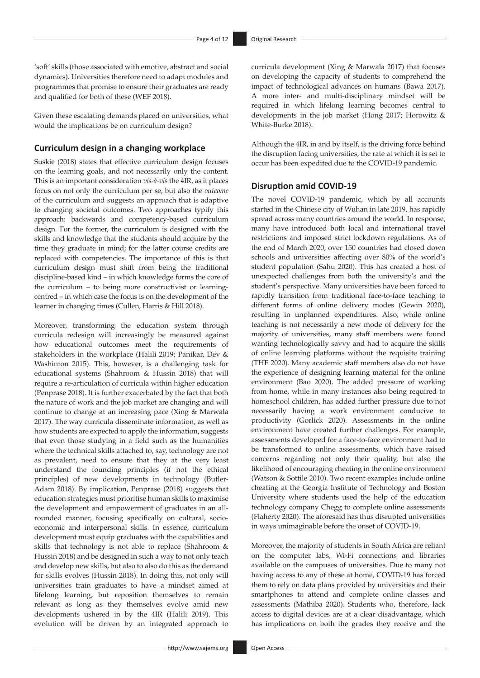'soft' skills (those associated with emotive, abstract and social dynamics). Universities therefore need to adapt modules and programmes that promise to ensure their graduates are ready and qualified for both of these (WEF 2018).

Given these escalating demands placed on universities, what would the implications be on curriculum design?

### **Curriculum design in a changing workplace**

Suskie (2018) states that effective curriculum design focuses on the learning goals, and not necessarily only the content. This is an important consideration *vis-à-vis* the 4IR, as it places focus on not only the curriculum per se, but also the *outcome* of the curriculum and suggests an approach that is adaptive to changing societal outcomes. Two approaches typify this approach: backwards and competency-based curriculum design. For the former, the curriculum is designed with the skills and knowledge that the students should acquire by the time they graduate in mind; for the latter course credits are replaced with competencies. The importance of this is that curriculum design must shift from being the traditional discipline-based kind – in which knowledge forms the core of the curriculum – to being more constructivist or learningcentred – in which case the focus is on the development of the learner in changing times (Cullen, Harris & Hill 2018).

Moreover, transforming the education system through curricula redesign will increasingly be measured against how educational outcomes meet the requirements of stakeholders in the workplace (Halili 2019; Panikar, Dev & Washinton 2015). This, however, is a challenging task for educational systems (Shahroom & Hussin 2018) that will require a re-articulation of curricula within higher education (Penprase 2018). It is further exacerbated by the fact that both the nature of work and the job market are changing and will continue to change at an increasing pace (Xing & Marwala 2017). The way curricula disseminate information, as well as how students are expected to apply the information, suggests that even those studying in a field such as the humanities where the technical skills attached to, say, technology are not as prevalent, need to ensure that they at the very least understand the founding principles (if not the ethical principles) of new developments in technology (Butler-Adam 2018). By implication, Penprase (2018) suggests that education strategies must prioritise human skills to maximise the development and empowerment of graduates in an allrounded manner, focusing specifically on cultural, socioeconomic and interpersonal skills. In essence, curriculum development must equip graduates with the capabilities and skills that technology is not able to replace (Shahroom & Hussin 2018) and be designed in such a way to not only teach and develop new skills, but also to also do this as the demand for skills evolves (Hussin 2018). In doing this, not only will universities train graduates to have a mindset aimed at lifelong learning, but reposition themselves to remain relevant as long as they themselves evolve amid new developments ushered in by the 4IR (Halili 2019). This evolution will be driven by an integrated approach to curricula development (Xing & Marwala 2017) that focuses on developing the capacity of students to comprehend the impact of technological advances on humans (Bawa 2017). A more inter- and multi-disciplinary mindset will be required in which lifelong learning becomes central to developments in the job market (Hong 2017; Horowitz & White-Burke 2018).

Although the 4IR, in and by itself, is the driving force behind the disruption facing universities, the rate at which it is set to occur has been expedited due to the COVID-19 pandemic.

### **Disruption amid COVID-19**

The novel COVID-19 pandemic, which by all accounts started in the Chinese city of Wuhan in late 2019, has rapidly spread across many countries around the world. In response, many have introduced both local and international travel restrictions and imposed strict lockdown regulations. As of the end of March 2020, over 150 countries had closed down schools and universities affecting over 80% of the world's student population (Sahu 2020). This has created a host of unexpected challenges from both the university's and the student's perspective. Many universities have been forced to rapidly transition from traditional face-to-face teaching to different forms of online delivery modes (Gewin 2020), resulting in unplanned expenditures. Also, while online teaching is not necessarily a new mode of delivery for the majority of universities, many staff members were found wanting technologically savvy and had to acquire the skills of online learning platforms without the requisite training (THE 2020). Many academic staff members also do not have the experience of designing learning material for the online environment (Bao 2020). The added pressure of working from home, while in many instances also being required to homeschool children, has added further pressure due to not necessarily having a work environment conducive to productivity (Gorlick 2020). Assessments in the online environment have created further challenges. For example, assessments developed for a face-to-face environment had to be transformed to online assessments, which have raised concerns regarding not only their quality, but also the likelihood of encouraging cheating in the online environment (Watson & Sottile 2010). Two recent examples include online cheating at the Georgia Institute of Technology and Boston University where students used the help of the education technology company Chegg to complete online assessments (Flaherty 2020). The aforesaid has thus disrupted universities in ways unimaginable before the onset of COVID-19.

Moreover, the majority of students in South Africa are reliant on the computer labs, Wi-Fi connections and libraries available on the campuses of universities. Due to many not having access to any of these at home, COVID-19 has forced them to rely on data plans provided by universities and their smartphones to attend and complete online classes and assessments (Mathiba 2020). Students who, therefore, lack access to digital devices are at a clear disadvantage, which has implications on both the grades they receive and the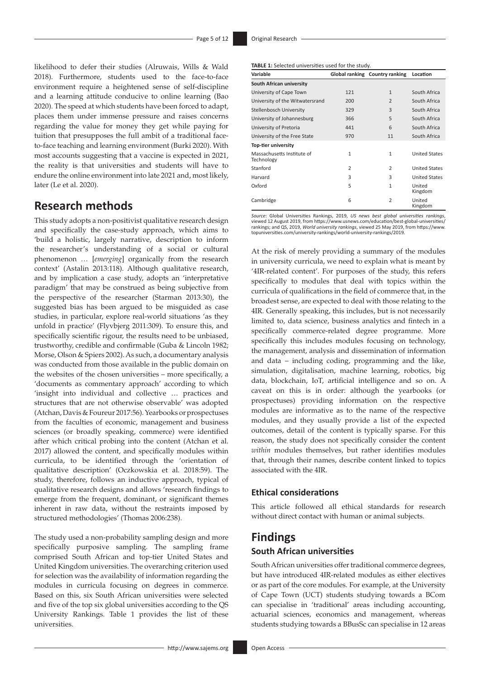likelihood to defer their studies (Alruwais, Wills & Wald 2018). Furthermore, students used to the face-to-face environment require a heightened sense of self-discipline and a learning attitude conducive to online learning (Bao 2020). The speed at which students have been forced to adapt, places them under immense pressure and raises concerns regarding the value for money they get while paying for tuition that presupposes the full ambit of a traditional faceto-face teaching and learning environment (Burki 2020). With most accounts suggesting that a vaccine is expected in 2021, the reality is that universities and students will have to endure the online environment into late 2021 and, most likely, later (Le et al. 2020).

# **Research methods**

This study adopts a non-positivist qualitative research design and specifically the case-study approach, which aims to 'build a holistic, largely narrative, description to inform the researcher's understanding of a social or cultural phenomenon … [*emerging*] organically from the research context' (Astalin 2013:118). Although qualitative research, and by implication a case study, adopts an 'interpretative paradigm' that may be construed as being subjective from the perspective of the researcher (Starman 2013:30), the suggested bias has been argued to be misguided as case studies, in particular, explore real-world situations 'as they unfold in practice' (Flyvbjerg 2011:309). To ensure this, and specifically scientific rigour, the results need to be unbiased, trustworthy, credible and confirmable (Guba & Lincoln 1982; Morse, Olson & Spiers 2002). As such, a documentary analysis was conducted from those available in the public domain on the websites of the chosen universities – more specifically, a 'documents as commentary approach' according to which 'insight into individual and collective … practices and structures that are not otherwise observable' was adopted (Atchan, Davis & Foureur 2017:56). Yearbooks or prospectuses from the faculties of economic, management and business sciences (or broadly speaking, commerce) were identified after which critical probing into the content (Atchan et al. 2017) allowed the content, and specifically modules within curricula, to be identified through the 'orientation of qualitative description' (Oczkowskia et al. 2018:59). The study, therefore, follows an inductive approach, typical of qualitative research designs and allows 'research findings to emerge from the frequent, dominant, or significant themes inherent in raw data, without the restraints imposed by structured methodologies' (Thomas 2006:238).

The study used a non-probability sampling design and more specifically purposive sampling. The sampling frame comprised South African and top-tier United States and United Kingdom universities. The overarching criterion used for selection was the availability of information regarding the modules in curricula focusing on degrees in commerce. Based on this, six South African universities were selected and five of the top six global universities according to the QS University Rankings. Table 1 provides the list of these universities.

**TABLE 1:** Selected universities used for the study.

| Variable                                 |                | Global ranking Country ranking | Location             |
|------------------------------------------|----------------|--------------------------------|----------------------|
| South African university                 |                |                                |                      |
| University of Cape Town                  | 121            | $\mathbf{1}$                   | South Africa         |
| University of the Witwatersrand          | 200            | $\overline{2}$                 | South Africa         |
| Stellenbosch University                  | 329            | 3                              | South Africa         |
| University of Johannesburg               | 366            | 5                              | South Africa         |
| University of Pretoria                   | 441            | 6                              | South Africa         |
| University of the Free State             | 970            | 11                             | South Africa         |
| Top-tier university                      |                |                                |                      |
| Massachusetts Institute of<br>Technology | $\mathbf{1}$   | $\mathbf{1}$                   | <b>United States</b> |
| Stanford                                 | $\overline{2}$ | $\overline{2}$                 | <b>United States</b> |
| Harvard                                  | 3              | 3                              | <b>United States</b> |
| Oxford                                   | 5              | $\mathbf{1}$                   | United<br>Kingdom    |
| Cambridge                                | 6              | $\overline{2}$                 | United<br>Kingdom    |

*Source*: Global Universities Rankings, 2019, *US news best global universities rankings*, viewed 12 August 2019, from [https://www.usnews.com/education/best-global-universities/](https://www.usnews.com/education/best-global-universities/rankings) [rankings;](https://www.usnews.com/education/best-global-universities/rankings) and QS, 2019, *World university rankings*, viewed 25 May 2019, from [https://www.](https://www.topuniversities.com/university-rankings/world-university-rankings/2019) [topuniversities.com/university-rankings/world-university-rankings/2019](https://www.topuniversities.com/university-rankings/world-university-rankings/2019).

At the risk of merely providing a summary of the modules in university curricula, we need to explain what is meant by '4IR-related content'. For purposes of the study, this refers specifically to modules that deal with topics within the curricula of qualifications in the field of commerce that, in the broadest sense, are expected to deal with those relating to the 4IR. Generally speaking, this includes, but is not necessarily limited to, data science, business analytics and fintech in a specifically commerce-related degree programme. More specifically this includes modules focusing on technology, the management, analysis and dissemination of information and data – including coding, programming and the like, simulation, digitalisation, machine learning, robotics, big data, blockchain, IoT, artificial intelligence and so on. A caveat on this is in order: although the yearbooks (or prospectuses) providing information on the respective modules are informative as to the name of the respective modules, and they usually provide a list of the expected outcomes, detail of the content is typically sparse. For this reason, the study does not specifically consider the content *within* modules themselves, but rather identifies modules that, through their names, describe content linked to topics associated with the 4IR.

### **Ethical considerations**

This article followed all ethical standards for research without direct contact with human or animal subjects.

# **Findings South African universities**

South African universities offer traditional commerce degrees, but have introduced 4IR-related modules as either electives or as part of the core modules. For example, at the University of Cape Town (UCT) students studying towards a BCom can specialise in 'traditional' areas including accounting, actuarial sciences, economics and management, whereas students studying towards a BBusSc can specialise in 12 areas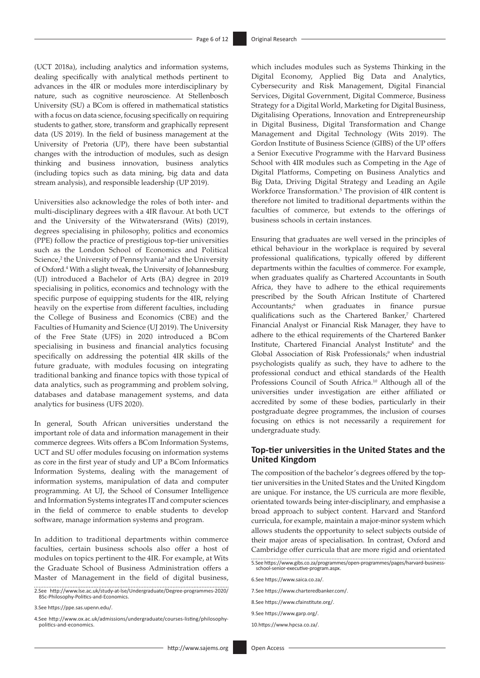(UCT 2018a), including analytics and information systems, dealing specifically with analytical methods pertinent to advances in the 4IR or modules more interdisciplinary by nature, such as cognitive neuroscience. At Stellenbosch University (SU) a BCom is offered in mathematical statistics with a focus on data science, focusing specifically on requiring students to gather, store, transform and graphically represent data (US 2019). In the field of business management at the University of Pretoria (UP), there have been substantial changes with the introduction of modules, such as design thinking and business innovation, business analytics (including topics such as data mining, big data and data stream analysis), and responsible leadership (UP 2019).

Universities also acknowledge the roles of both inter- and multi-disciplinary degrees with a 4IR flavour. At both UCT and the University of the Witwatersrand (Wits) (2019), degrees specialising in philosophy, politics and economics (PPE) follow the practice of prestigious top-tier universities such as the London School of Economics and Political Science,<sup>2</sup> the University of Pennsylvania<sup>3</sup> and the University of Oxford.4 With a slight tweak, the University of Johannesburg (UJ) introduced a Bachelor of Arts (BA) degree in 2019 specialising in politics, economics and technology with the specific purpose of equipping students for the 4IR, relying heavily on the expertise from different faculties, including the College of Business and Economics (CBE) and the Faculties of Humanity and Science (UJ 2019). The University of the Free State (UFS) in 2020 introduced a BCom specialising in business and financial analytics focusing specifically on addressing the potential 4IR skills of the future graduate, with modules focusing on integrating traditional banking and finance topics with those typical of data analytics, such as programming and problem solving, databases and database management systems, and data analytics for business (UFS 2020).

In general, South African universities understand the important role of data and information management in their commerce degrees. Wits offers a BCom Information Systems, UCT and SU offer modules focusing on information systems as core in the first year of study and UP a BCom Informatics Information Systems, dealing with the management of information systems, manipulation of data and computer programming. At UJ, the School of Consumer Intelligence and Information Systems integrates IT and computer sciences in the field of commerce to enable students to develop software, manage information systems and program.

In addition to traditional departments within commerce faculties, certain business schools also offer a host of modules on topics pertinent to the 4IR. For example, at Wits the Graduate School of Business Administration offers a Master of Management in the field of digital business,

2.See [http://www.lse.ac.uk/study-at-lse/Undergraduate/Degree-programmes-2020/](http://www.lse.ac.uk/study-at-lse/Undergraduate/Degree-programmes-2020/BSc-Philosophy-Politics-and-Economics) [BSc-Philosophy-Politics-and-Economics](http://www.lse.ac.uk/study-at-lse/Undergraduate/Degree-programmes-2020/BSc-Philosophy-Politics-and-Economics).

3.See <https://ppe.sas.upenn.edu/>.

4.See [http://www.ox.ac.uk/admissions/undergraduate/courses-listing/philosophy](http://www.ox.ac.uk/admissions/undergraduate/courses-listing/philosophy-politics-and-economics)[politics-and-economics.](http://www.ox.ac.uk/admissions/undergraduate/courses-listing/philosophy-politics-and-economics)

which includes modules such as Systems Thinking in the Digital Economy, Applied Big Data and Analytics, Cybersecurity and Risk Management, Digital Financial Services, Digital Government, Digital Commerce, Business Strategy for a Digital World, Marketing for Digital Business, Digitalising Operations, Innovation and Entrepreneurship in Digital Business, Digital Transformation and Change Management and Digital Technology (Wits 2019). The Gordon Institute of Business Science (GIBS) of the UP offers a Senior Executive Programme with the Harvard Business School with 4IR modules such as Competing in the Age of Digital Platforms, Competing on Business Analytics and Big Data, Driving Digital Strategy and Leading an Agile Workforce Transformation.<sup>5</sup> The provision of 4IR content is therefore not limited to traditional departments within the faculties of commerce, but extends to the offerings of business schools in certain instances.

Ensuring that graduates are well versed in the principles of ethical behaviour in the workplace is required by several professional qualifications, typically offered by different departments within the faculties of commerce. For example, when graduates qualify as Chartered Accountants in South Africa, they have to adhere to the ethical requirements prescribed by the South African Institute of Chartered Accountants;6 when graduates in finance pursue qualifications such as the Chartered Banker,<sup>7</sup> Chartered Financial Analyst or Financial Risk Manager, they have to adhere to the ethical requirements of the Chartered Banker Institute, Chartered Financial Analyst Institute<sup>8</sup> and the Global Association of Risk Professionals;<sup>9</sup> when industrial psychologists qualify as such, they have to adhere to the professional conduct and ethical standards of the Health Professions Council of South Africa.<sup>10</sup> Although all of the universities under investigation are either affiliated or accredited by some of these bodies, particularly in their postgraduate degree programmes, the inclusion of courses focusing on ethics is not necessarily a requirement for undergraduate study.

### **Top-tier universities in the United States and the United Kingdom**

The composition of the bachelor's degrees offered by the toptier universities in the United States and the United Kingdom are unique. For instance, the US curricula are more flexible, orientated towards being inter-disciplinary, and emphasise a broad approach to subject content. Harvard and Stanford curricula, for example, maintain a major-minor system which allows students the opportunity to select subjects outside of their major areas of specialisation. In contrast, Oxford and Cambridge offer curricula that are more rigid and orientated

5.See [https://www.gibs.co.za/programmes/open-programmes/pages/harvard-business](https://www.gibs.co.za/programmes/open-programmes/pages/harvard-business-school-senior-executive-program.aspx)[school-senior-executive-program.aspx.](https://www.gibs.co.za/programmes/open-programmes/pages/harvard-business-school-senior-executive-program.aspx)

6.See [https://www.saica.co.za/.](https://www.saica.co.za/)

7.See <https://www.charteredbanker.com/>.

- 8.See [https://www.cfainstitute.org/.](https://www.cfainstitute.org/)
- 9.See [https://www.garp.org/.](https://www.garp.org/)

10.<https://www.hpcsa.co.za/>.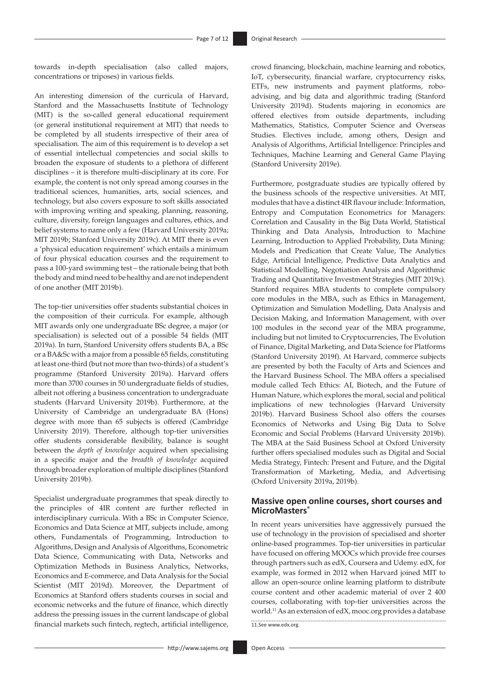towards in-depth specialisation (also called majors, concentrations or triposes) in various fields.

An interesting dimension of the curricula of Harvard, Stanford and the Massachusetts Institute of Technology (MIT) is the so-called general educational requirement (or general institutional requirement at MIT) that needs to be completed by all students irrespective of their area of specialisation. The aim of this requirement is to develop a set of essential intellectual competencies and social skills to broaden the exposure of students to a plethora of different disciplines – it is therefore multi-disciplinary at its core. For example, the content is not only spread among courses in the traditional sciences, humanities, arts, social sciences, and technology, but also covers exposure to soft skills associated with improving writing and speaking, planning, reasoning, culture, diversity, foreign languages and cultures, ethics, and belief systems to name only a few (Harvard University 2019a; MIT 2019b; Stanford University 2019c). At MIT there is even a 'physical education requirement' which entails a minimum of four physical education courses and the requirement to pass a 100-yard swimming test – the rationale being that both the body and mind need to be healthy and are not independent of one another (MIT 2019b).

The top-tier universities offer students substantial choices in the composition of their curricula. For example, although MIT awards only one undergraduate BSc degree, a major (or specialisation) is selected out of a possible 54 fields (MIT 2019a). In turn, Stanford University offers students BA, a BSc or a BA&Sc with a major from a possible 65 fields, constituting at least one-third (but not more than two-thirds) of a student's programme (Stanford University 2019a). Harvard offers more than 3700 courses in 50 undergraduate fields of studies, albeit not offering a business concentration to undergraduate students (Harvard University 2019b). Furthermore, at the University of Cambridge an undergraduate BA (Hons) degree with more than 65 subjects is offered (Cambridge University 2019). Therefore, although top-tier universities offer students considerable flexibility, balance is sought between the *depth of knowledge* acquired when specialising in a specific major and the *breadth of knowledge* acquired through broader exploration of multiple disciplines (Stanford University 2019b).

Specialist undergraduate programmes that speak directly to the principles of 4IR content are further reflected in interdisciplinary curricula. With a BSc in Computer Science, Economics and Data Science at MIT, subjects include, among others, Fundamentals of Programming, Introduction to Algorithms, Design and Analysis of Algorithms, Econometric Data Science, Communicating with Data, Networks and Optimization Methods in Business Analytics, Networks, Economics and E-commerce, and Data Analysis for the Social Scientist (MIT 2019d). Moreover, the Department of Economics at Stanford offers students courses in social and economic networks and the future of finance, which directly address the pressing issues in the current landscape of global financial markets such fintech, regtech, artificial intelligence,

crowd financing, blockchain, machine learning and robotics, IoT, cybersecurity, financial warfare, cryptocurrency risks, ETFs, new instruments and payment platforms, roboadvising, and big data and algorithmic trading (Stanford University 2019d). Students majoring in economics are offered electives from outside departments, including Mathematics, Statistics, Computer Science and Overseas Studies. Electives include, among others, Design and Analysis of Algorithms, Artificial Intelligence: Principles and Techniques, Machine Learning and General Game Playing (Stanford University 2019e).

Furthermore, postgraduate studies are typically offered by the business schools of the respective universities. At MIT, modules that have a distinct 4IR flavour include: Information, Entropy and Computation Econometrics for Managers: Correlation and Causality in the Big Data World, Statistical Thinking and Data Analysis, Introduction to Machine Learning, Introduction to Applied Probability, Data Mining: Models and Predication that Create Value, The Analytics Edge, Artificial Intelligence, Predictive Data Analytics and Statistical Modelling, Negotiation Analysis and Algorithmic Trading and Quantitative Investment Strategies (MIT 2019c). Stanford requires MBA students to complete compulsory core modules in the MBA, such as Ethics in Management, Optimization and Simulation Modelling, Data Analysis and Decision Making, and Information Management, with over 100 modules in the second year of the MBA programme, including but not limited to Cryptocurrencies, The Evolution of Finance, Digital Marketing, and Data Science for Platforms (Stanford University 2019f). At Harvard, commerce subjects are presented by both the Faculty of Arts and Sciences and the Harvard Business School. The MBA offers a specialised module called Tech Ethics: AI, Biotech, and the Future of Human Nature, which explores the moral, social and political implications of new technologies (Harvard University 2019b). Harvard Business School also offers the courses Economics of Networks and Using Big Data to Solve Economic and Social Problems (Harvard University 2019b). The MBA at the Saïd Business School at Oxford University further offers specialised modules such as Digital and Social Media Strategy, Fintech: Present and Future, and the Digital Transformation of Marketing, Media, and Advertising (Oxford University 2019a, 2019b).

### **Massive open online courses, short courses and MicroMasters®**

In recent years universities have aggressively pursued the use of technology in the provision of specialised and shorter online-based programmes. Top-tier universities in particular have focused on offering MOOCs which provide free courses through partners such as edX, Coursera and Udemy. edX, for example, was formed in 2012 when Harvard joined MIT to allow an open-source online learning platform to distribute course content and other academic material of over 2 400 courses, collaborating with top-tier universities across the world.11 As an extension of edX, [mooc.org](http://mooc.org) provides a database 11.See [www.edx.org](http://www.edx.org).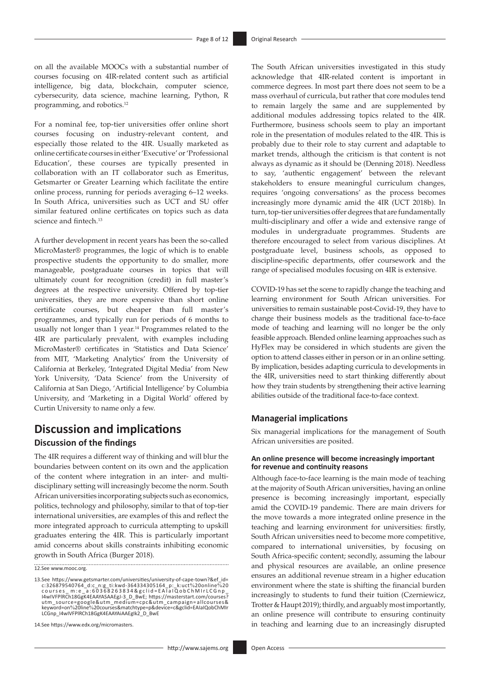on all the available MOOCs with a substantial number of courses focusing on 4IR-related content such as artificial intelligence, big data, blockchain, computer science, cybersecurity, data science, machine learning, Python, R programming, and robotics.12

For a nominal fee, top-tier universities offer online short courses focusing on industry-relevant content, and especially those related to the 4IR. Usually marketed as online certificate courses in either 'Executive' or 'Professional Education', these courses are typically presented in collaboration with an IT collaborator such as Emeritus, Getsmarter or Greater Learning which facilitate the entire online process, running for periods averaging 6–12 weeks. In South Africa, universities such as UCT and SU offer similar featured online certificates on topics such as data science and fintech.<sup>13</sup>

A further development in recent years has been the so-called MicroMaster® programmes, the logic of which is to enable prospective students the opportunity to do smaller, more manageable, postgraduate courses in topics that will ultimately count for recognition (credit) in full master's degrees at the respective university. Offered by top-tier universities, they are more expensive than short online certificate courses, but cheaper than full master's programmes, and typically run for periods of 6 months to usually not longer than 1 year.<sup>14</sup> Programmes related to the 4IR are particularly prevalent, with examples including MicroMaster® certificates in 'Statistics and Data Science' from MIT, 'Marketing Analytics' from the University of California at Berkeley, 'Integrated Digital Media' from New York University, 'Data Science' from the University of California at San Diego, 'Artificial Intelligence' by Columbia University, and 'Marketing in a Digital World' offered by Curtin University to name only a few.

# **Discussion and implications**

### **Discussion of the findings**

The 4IR requires a different way of thinking and will blur the boundaries between content on its own and the application of the content where integration in an inter- and multidisciplinary setting will increasingly become the norm. South African universities incorporating subjects such as economics, politics, technology and philosophy, similar to that of top-tier international universities, are examples of this and reflect the more integrated approach to curricula attempting to upskill graduates entering the 4IR. This is particularly important amid concerns about skills constraints inhibiting economic growth in South Africa (Burger 2018).

12.See [www.mooc.org.](http://www.mooc.org)

The South African universities investigated in this study acknowledge that 4IR-related content is important in commerce degrees. In most part there does not seem to be a mass overhaul of curricula, but rather that core modules tend to remain largely the same and are supplemented by additional modules addressing topics related to the 4IR. Furthermore, business schools seem to play an important role in the presentation of modules related to the 4IR. This is probably due to their role to stay current and adaptable to market trends, although the criticism is that content is not always as dynamic as it should be (Denning 2018). Needless to say, 'authentic engagement' between the relevant stakeholders to ensure meaningful curriculum changes, requires 'ongoing conversations' as the process becomes increasingly more dynamic amid the 4IR (UCT 2018b). In turn, top-tier universities offer degrees that are fundamentally multi-disciplinary and offer a wide and extensive range of modules in undergraduate programmes. Students are therefore encouraged to select from various disciplines. At postgraduate level, business schools, as opposed to discipline-specific departments, offer coursework and the range of specialised modules focusing on 4IR is extensive.

COVID-19 has set the scene to rapidly change the teaching and learning environment for South African universities. For universities to remain sustainable post-Covid-19, they have to change their business models as the traditional face-to-face mode of teaching and learning will no longer be the only feasible approach. Blended online learning approaches such as HyFlex may be considered in which students are given the option to attend classes either in person or in an online setting. By implication, besides adapting curricula to developments in the 4IR, universities need to start thinking differently about how they train students by strengthening their active learning abilities outside of the traditional face-to-face context.

#### **Managerial implications**

Six managerial implications for the management of South African universities are posited.

#### **An online presence will become increasingly important for revenue and continuity reasons**

Although face-to-face learning is the main mode of teaching at the majority of South African universities, having an online presence is becoming increasingly important, especially amid the COVID-19 pandemic. There are main drivers for the move towards a more integrated online presence in the teaching and learning environment for universities: firstly, South African universities need to become more competitive, compared to international universities, by focusing on South Africa-specific content; secondly, assuming the labour and physical resources are available, an online presence ensures an additional revenue stream in a higher education environment where the state is shifting the financial burden increasingly to students to fund their tuition (Czerniewicz, Trotter & Haupt 2019); thirdly, and arguably most importantly, an online presence will contribute to ensuring continuity in teaching and learning due to an increasingly disrupted

<sup>13.</sup>See [https://www.getsmarter.com/universities/university-of-cape-town?&ef\\_id=](https://www.getsmarter.com/universities/university-of-cape-town?&ef_id=c:326879540764_d:c_n:g_ti:kwd-364334305164_p:_k:uct%20online%20courses_m:e_a:60368263834&gclid=EAIaIQobChMIrLCGnp_I4wIVFPlRCh18GgK4EAAYASAAEgJ-3_D_BwE) [c:326879540764\\_d:c\\_n:g\\_ti:kwd-364334305164\\_p:\\_k:uct](https://www.getsmarter.com/universities/university-of-cape-town?&ef_id=c:326879540764_d:c_n:g_ti:kwd-364334305164_p:_k:uct%20online%20courses_m:e_a:60368263834&gclid=EAIaIQobChMIrLCGnp_I4wIVFPlRCh18GgK4EAAYASAAEgJ-3_D_BwE)%20online%20<br>c o u r s e s \_ m : e \_a : 6 0 3 6 8 2 6 3 8 3 4 & g c l i d = E A I a I Q o b C h M I r L C G n p \_<br>I4wIVFPIRCh18GgK4EAAYASAAEgJ-3\_D\_BwE; https://masterstart [utm\\_source=google&utm\\_medium=cpc&utm\\_campaign=](https://masterstart.com/courses?utm_source=google&utm_medium=cpc&utm_campaign=allcourses&keyword=on%20line%20courses&matchtype=p&device=c&gclid=EAIaIQobChMIrLCGnp_I4wIVFPlRCh18GgK4EAAYAiAAEgIk2_D_BwE) allcourses&<br>keyword=on%20line%[20courses&matchtype=p&device=c&gclid=EAIaIQobChMIr](https://masterstart.com/courses?utm_source=google&utm_medium=cpc&utm_campaign=allcourses&keyword=on%20line%20courses&matchtype=p&device=c&gclid=EAIaIQobChMIrLCGnp_I4wIVFPlRCh18GgK4EAAYAiAAEgIk2_D_BwE)<br>LCGnp\_I4wIVFPIRCh18GgK4EAAYAiAAEgIk2\_D\_BwE

<sup>14</sup>.See<https://www.edx.org/micromasters>.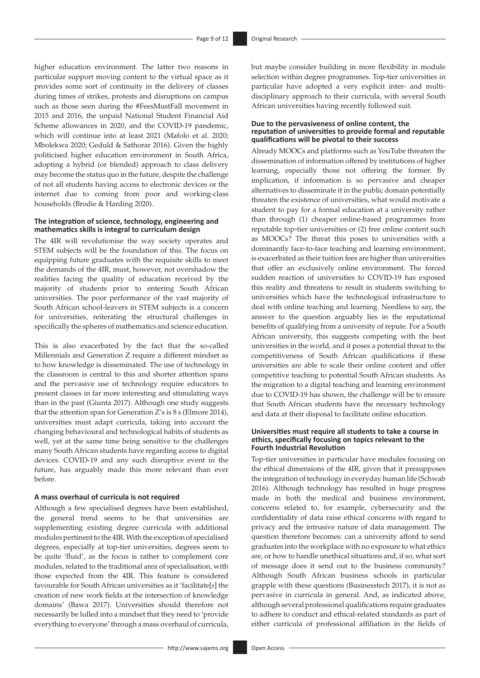higher education environment. The latter two reasons in particular support moving content to the virtual space as it provides some sort of continuity in the delivery of classes during times of strikes, protests and disruptions on campus such as those seen during the #FeesMustFall movement in 2015 and 2016, the unpaid National Student Financial Aid Scheme allowances in 2020, and the COVID-19 pandemic, which will continue into at least 2021 (Mafolo et al. 2020; Mbolekwa 2020; Geduld & Sathorar 2016). Given the highly politicised higher education environment in South Africa, adopting a hybrid (or blended) approach to class delivery may become the status quo in the future, despite the challenge of not all students having access to electronic devices or the internet due to coming from poor and working-class households (Brodie & Harding 2020).

#### **The integration of science, technology, engineering and mathematics skills is integral to curriculum design**

The 4IR will revolutionise the way society operates and STEM subjects will be the foundation of this. The focus on equipping future graduates with the requisite skills to meet the demands of the 4IR, must, however, not overshadow the realities facing the quality of education received by the majority of students prior to entering South African universities. The poor performance of the vast majority of South African school-leavers in STEM subjects is a concern for universities, reiterating the structural challenges in specifically the spheres of mathematics and science education.

This is also exacerbated by the fact that the so-called Millennials and Generation Z require a different mindset as to how knowledge is disseminated. The use of technology in the classroom is central to this and shorter attention spans and the pervasive use of technology require educators to present classes in far more interesting and stimulating ways than in the past (Giunta 2017). Although one study suggests that the attention span for Generation Z's is 8 s (Elmore 2014), universities must adapt curricula, taking into account the changing behavioural and technological habits of students as well, yet at the same time being sensitive to the challenges many South African students have regarding access to digital devices. COVID-19 and any such disruptive event in the future, has arguably made this more relevant than ever before.

#### **A mass overhaul of curricula is not required**

Although a few specialised degrees have been established, the general trend seems to be that universities are supplementing existing degree curricula with additional modules pertinent to the 4IR. With the exception of specialised degrees, especially at top-tier universities, degrees seem to be quite 'fluid', as the focus is rather to complement core modules, related to the traditional area of specialisation, with those expected from the 4IR. This feature is considered favourable for South African universities as it 'facilitate[*s*] the creation of new work fields at the intersection of knowledge domains' (Bawa 2017). Universities should therefore not necessarily be lulled into a mindset that they need to 'provide everything to everyone' through a mass overhaul of curricula,

but maybe consider building in more flexibility in module selection within degree programmes. Top-tier universities in particular have adopted a very explicit inter- and multidisciplinary approach to their curricula, with several South African universities having recently followed suit.

#### **Due to the pervasiveness of online content, the reputation of universities to provide formal and reputable qualifications will be pivotal to their success**

Already MOOCs and platforms such as YouTube threaten the dissemination of information offered by institutions of higher learning, especially those not offering the former. By implication, if information is so pervasive and cheaper alternatives to disseminate it in the public domain potentially threaten the existence of universities, what would motivate a student to pay for a formal education at a university rather than through (1) cheaper online-based programmes from reputable top-tier universities or (2) free online content such as MOOCs? The threat this poses to universities with a dominantly face-to-face teaching and learning environment, is exacerbated as their tuition fees are higher than universities that offer an exclusively online environment. The forced sudden reaction of universities to COVID-19 has exposed this reality and threatens to result in students switching to universities which have the technological infrastructure to deal with online teaching and learning. Needless to say, the answer to the question arguably lies in the reputational benefits of qualifying from a university of repute. For a South African university, this suggests competing with the best universities in the world, and it poses a potential threat to the competitiveness of South African qualifications if these universities are able to scale their online content and offer competitive teaching to potential South African students. As the migration to a digital teaching and learning environment due to COVID-19 has shown, the challenge will be to ensure that South African students have the necessary technology and data at their disposal to facilitate online education.

#### **Universities must require all students to take a course in ethics, specifically focusing on topics relevant to the Fourth Industrial Revolution**

Top-tier universities in particular have modules focusing on the ethical dimensions of the 4IR, given that it presupposes the integration of technology in everyday human life (Schwab 2016). Although technology has resulted in huge progress made in both the medical and business environment, concerns related to, for example, cybersecurity and the confidentiality of data raise ethical concerns with regard to privacy and the intrusive nature of data management. The question therefore becomes: can a university afford to send graduates into the workplace with no exposure to what ethics are, or how to handle unethical situations and, if so, what sort of message does it send out to the business community? Although South African business schools in particular grapple with these questions (Businesstech 2017), it is not as pervasive in curricula in general. And, as indicated above, although several professional qualifications require graduates to adhere to conduct and ethical-related standards as part of either curricula of professional affiliation in the fields of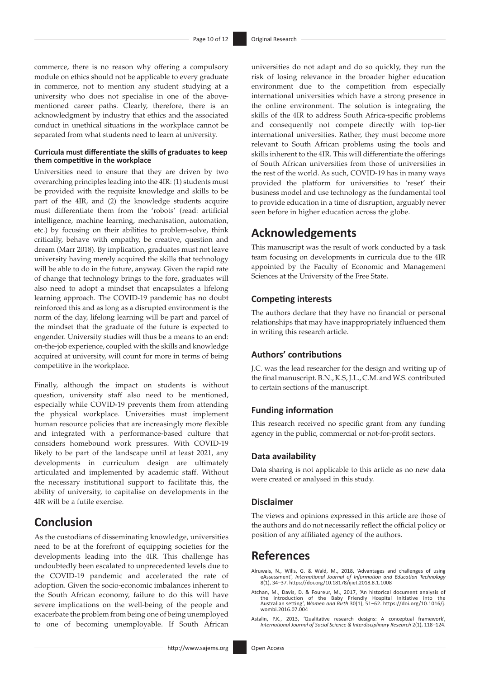commerce, there is no reason why offering a compulsory module on ethics should not be applicable to every graduate in commerce, not to mention any student studying at a university who does not specialise in one of the abovementioned career paths. Clearly, therefore, there is an acknowledgment by industry that ethics and the associated conduct in unethical situations in the workplace cannot be separated from what students need to learn at university.

#### **Curricula must differentiate the skills of graduates to keep them competitive in the workplace**

Universities need to ensure that they are driven by two overarching principles leading into the 4IR: (1) students must be provided with the requisite knowledge and skills to be part of the 4IR, and (2) the knowledge students acquire must differentiate them from the 'robots' (read: artificial intelligence, machine learning, mechanisation, automation, etc.) by focusing on their abilities to problem-solve, think critically, behave with empathy, be creative, question and dream (Marr 2018). By implication, graduates must not leave university having merely acquired the skills that technology will be able to do in the future, anyway. Given the rapid rate of change that technology brings to the fore, graduates will also need to adopt a mindset that encapsulates a lifelong learning approach. The COVID-19 pandemic has no doubt reinforced this and as long as a disrupted environment is the norm of the day, lifelong learning will be part and parcel of the mindset that the graduate of the future is expected to engender. University studies will thus be a means to an end: on-the-job experience, coupled with the skills and knowledge acquired at university, will count for more in terms of being competitive in the workplace.

Finally, although the impact on students is without question, university staff also need to be mentioned, especially while COVID-19 prevents them from attending the physical workplace. Universities must implement human resource policies that are increasingly more flexible and integrated with a performance-based culture that considers homebound work pressures. With COVID-19 likely to be part of the landscape until at least 2021, any developments in curriculum design are ultimately articulated and implemented by academic staff. Without the necessary institutional support to facilitate this, the ability of university, to capitalise on developments in the 4IR will be a futile exercise.

# **Conclusion**

As the custodians of disseminating knowledge, universities need to be at the forefront of equipping societies for the developments leading into the 4IR. This challenge has undoubtedly been escalated to unprecedented levels due to the COVID-19 pandemic and accelerated the rate of adoption. Given the socio-economic imbalances inherent to the South African economy, failure to do this will have severe implications on the well-being of the people and exacerbate the problem from being one of being unemployed to one of becoming unemployable. If South African

universities do not adapt and do so quickly, they run the risk of losing relevance in the broader higher education environment due to the competition from especially international universities which have a strong presence in the online environment. The solution is integrating the skills of the 4IR to address South Africa-specific problems and consequently not compete directly with top-tier international universities. Rather, they must become more relevant to South African problems using the tools and skills inherent to the 4IR. This will differentiate the offerings of South African universities from those of universities in the rest of the world. As such, COVID-19 has in many ways provided the platform for universities to 'reset' their business model and use technology as the fundamental tool to provide education in a time of disruption, arguably never seen before in higher education across the globe.

# **Acknowledgements**

This manuscript was the result of work conducted by a task team focusing on developments in curricula due to the 4IR appointed by the Faculty of Economic and Management Sciences at the University of the Free State.

### **Competing interests**

The authors declare that they have no financial or personal relationships that may have inappropriately influenced them in writing this research article.

### **Authors' contributions**

J.C. was the lead researcher for the design and writing up of the final manuscript. B.N., K.S, J.L., C.M. and W.S. contributed to certain sections of the manuscript.

### **Funding information**

This research received no specific grant from any funding agency in the public, commercial or not-for-profit sectors.

### **Data availability**

Data sharing is not applicable to this article as no new data were created or analysed in this study.

#### **Disclaimer**

The views and opinions expressed in this article are those of the authors and do not necessarily reflect the official policy or position of any affiliated agency of the authors.

## **References**

Alruwais, N., Wills, G. & Wald, M., 2018, 'Advantages and challenges of using eAssessment', *International Journal of Information and Education Technology* 8(1), 34–37. <https://doi.org/10.18178/ijiet.2018.8.1.1008>

- Atchan, M., Davis, D. & Foureur, M., 2017, 'An historical document analysis of the introduction of the Baby Friendly Hospital Initiative into the Australian setting', *Women and Birth* 30(1), 51–62. [https://doi.org/10.1016/j.](https://doi.org/10.1016/j.wombi.2016.07.004) [wombi.2016.07.004](https://doi.org/10.1016/j.wombi.2016.07.004)
- Astalin, P.K., 2013, 'Qualitative research designs: A conceptual framework', *International Journal of Social Science & Interdisciplinary Research* 2(1), 118–124.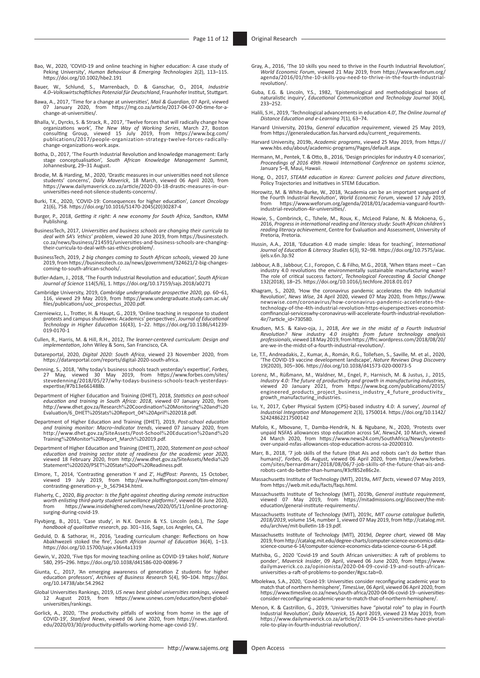- Bao, W., 2020, 'COVID‐19 and online teaching in higher education: A case study of Peking University', *Human Behaviour & Emerging Technologies* 2(2), 113–115. <https://doi.org/10.1002/hbe2.191>
- Bauer, W., Schlund, S., Marrenbach, D. & Ganschar, O., 2014, *Industrie 4.0–Volkswirtschaftliches Potenzial für Deutschland*, Fraunhofer Institut, Stuttgart.
- Bawa, A., 2017, 'Time for a change at universities', *Mail & Guardian*, 07 April, viewed 07 January 2020, from [https://mg.co.za/article/2017-04-07-00-time-for-a](https://mg.co.za/article/2017-04-07-00-time-for-a-change-at-universities/)[change-at-universities/.](https://mg.co.za/article/2017-04-07-00-time-for-a-change-at-universities/)
- Bhalla, V., Dyrcks, S. & Strack, R., 2017, 'Twelve forces that will radically change how<br>organizations work', The New Way of Working Series, March 27, Boston<br>consulting Group, viewed 15 July 2019, fro [publications/2017/people-organization-strategy-twelve-forces-radically](https://www.bcg.com/publications/2017/people-organization-strategy-twelve-forces-radically-change-organizations-work.aspx)[change-organizations-work.aspx](https://www.bcg.com/publications/2017/people-organization-strategy-twelve-forces-radically-change-organizations-work.aspx).
- Botha, D., 2017, 'The Fourth Industrial Revolution and knowledge management: Early stage conceptualisation', *South African Knowledge Management Summit*, Johannesburg, 29–31 August.
- Brodie, M. & Harding, M., 2020, 'Drastic measures in our universities need not silence<br>students' concerns', Daily Maverick, 18 March, viewed 06 April 2020, from<br>https://www.dailymaverick.co.za/article/2020-03-18-drastic-me
- Burki, T.K., 2020, 'COVID-19: Consequences for higher education', *Lancet Oncology* 21(6), 758. [https://doi.org/10.1016/S1470-2045\(20\)30287-4](https://doi.org/10.1016/S1470-2045(20)30287-4)
- Burger, P., 2018, *Getting it right: A new economy for South Africa*, Sandton, KMM Publishing.
- BusinessTech, 2017, Universities and business schools are changing their curricula to<br>deal with SA's 'ethics' problem, viewed 20 June 2019, from [https://businesstech.](https://businesstech.co.za/news/business/214591/universities-and-business-schools-are-changing-their-curricula-to-deal-with-sas-ethics-problem/)<br>-co.za/news/business/214591/universities-and-business-s [their-curricula-to-deal-with-sas-ethics-problem/](https://businesstech.co.za/news/business/214591/universities-and-business-schools-are-changing-their-curricula-to-deal-with-sas-ethics-problem/).
- BusinessTech, 2019, *2 big changes coming to South African schools*, viewed 20 June 2019, from [https://businesstech.co.za/news/government/324621/2-big-changes-](https://businesstech.co.za/news/government/324621/2-big-changes-coming-to-south-african-schools/)[coming-to-south-african-schools/.](https://businesstech.co.za/news/government/324621/2-big-changes-coming-to-south-african-schools/)
- Butler-Adam, J., 2018, 'The Fourth Industrial Revolution and education', *South African Journal of Science* 114(5/6), 1. <https://doi.org/10.17159/sajs.2018/a0271>
- Cambridge University, 2019, *Cambridge undergraduate prospective 2020*, pp. 60–61, 116, viewed 29 May 2019, from [https://www.undergraduate.study.cam.ac.uk/](https://www.undergraduate.study.cam.ac.uk/files­/publications­/uoc_prospectus_2020.pdf) [files/publications/uoc\\_prospectus\\_2020.pdf.](https://www.undergraduate.study.cam.ac.uk/files­/publications­/uoc_prospectus_2020.pdf)
- Czerniewicz, L., Trotter, H. & Haupt, G., 2019, 'Online teaching in response to student protests and campus shutdowns: Academics' perspectives', *Journal of Educational Technology in Higher Education* 16(43), 1–22. [https://doi.org/10.1186/s41239-](https://doi.org/10.1186/s41239-019-0170-1) [019-0170-1](https://doi.org/10.1186/s41239-019-0170-1)
- Cullen, R., Harris, M. & Hill, R.H., 2012, *The learner-centered curriculum: Design and implementation*, John Wiley & Sons, San Francisco, CA.
- Datareportal, 2020, *Digital 2020: South Africa*, viewed 23 November 2020, from [https://datareportal.com/reports/digital-2020-south-africa.](https://datareportal.com/reports/digital-2020-south-africa)
- Denning, S., 2018, 'Why today's business schools teach yesterday's expertise', Forbes,<br>27 May, viewed 30 May 2019, from [https://www.forbes.com/sites/](https://www.forbes.com/sites/stevedenning/2018/05/27/why-todays-business-schools-teach-yesterdays-expertise/#7b13e661488b)<br>stevedenning/2018/05/27/why-todays-business-schools-teach-yesterdays-<br>ex
- Department of Higher Education and Training (DHET), 2018, *Statistics on post-school education and training in South Africa: 2018*, viewed 07 January 2020, from [http://www.dhet.gov.za/Research](http://www.dhet.gov.za/Research%20Coordination%20Monitoring%20and%20Evaluation/6_DHET%20Stats%20Report_04%20April%202018.pdf)%20Coordination%20Monitoring%20and%20 [Evaluation/6\\_DHET](http://www.dhet.gov.za/Research%20Coordination%20Monitoring%20and%20Evaluation/6_DHET%20Stats%20Report_04%20April%202018.pdf)%20Stats%20Report\_04%20April%202018.pdf.
- Department of Higher Education and Training (DHET), 2019, *Post-school education and training monitor: Macro–Indicator trends*, viewed 07 January 2020, from [http://www.dhet.gov.za/SiteAssets/Post-School](http://www.dhet.gov.za/SiteAssets/Post-School%20Education%20and%20Training%20Monitor%20Report_March%202019.pdf)%20Education%20and%20 Training%20Monitor%[20Report\\_March](http://www.dhet.gov.za/SiteAssets/Post-School%20Education%20and%20Training%20Monitor%20Report_March%202019.pdf)%202019.pdf.
- Department of Higher Education and Training (DHET), 2020, *Statement on post-school education and training sector state of readiness for the academic year 2020,*<br>viewed 18 February 2020, from [http://www.dhet.gov.za/SiteAssets/Media](http://www.dhet.gov.za/SiteAssets/Media%20Statement%202020/PSET%20State%20of%20Readiness.pdf)%20<br>Statement%202020/PSET%20State%20of%[20Readiness.pdf](http://www.dhet.gov.za/SiteAssets/Media%20Statement%202020/PSET%20State%20of%20Readiness.pdf).
- Elmore, T., 2014, 'Contrasting generation Y and Z', *HuffPost: Parents*, 15 October, viewed 19 July 2019, from [http://www.huffingtonpost.com/tim-elmore/](http://www.huffingtonpost.com/tim-elmore/contrasting-generation-y-_b_5679434.html) [contrasting-generation-y-\\_b\\_5679434.html](http://www.huffingtonpost.com/tim-elmore/contrasting-generation-y-_b_5679434.html).
- Flaherty, C., 2020, *Big proctor: Is the fight against cheating during remote instruction worth enlisting third-party student surveillance platforms?*, viewed 06 June 2020, from [https://www.insidehighered.com/news/2020/05/11/online-proctoring](https://www.insidehighered.com/news/2020/05/11/online-proctoring-surging-during-covid-19)[surging-during-covid-19](https://www.insidehighered.com/news/2020/05/11/online-proctoring-surging-during-covid-19).
- Flyvbjerg, B., 2011, 'Case study', in N.K. Denzin & Y.S. Lincoln (eds.), *The Sage handbook of qualitative research*, pp. 301–316, Sage, Los Angeles, CA.
- Geduld, D. & Sathorar, H., 2016, 'Leading curriculum change: Reflections on how Abakhwezeli stoked the fire', *South African Journal of Education* 36(4), 1–13. <https://doi.org/10.15700/saje.v36n4a1319>
- Gewin, V., 2020, 'Five tips for moving teaching online as COVID-19 takes hold', *Nature* 580, 295–296. <https://doi.org/10.1038/d41586-020-00896-7>
- Giunta, C., 2017, 'An emerging awareness of generation Z students for higher education professors', *Archives of Business Research* 5(4), 90–104. [https://doi.](https://doi.org/10.14738/abr.54.2962) [org/10.14738/abr.54.2962](https://doi.org/10.14738/abr.54.2962)
- Global Universities Rankings, 2019, *US news best global universities rankings*, viewed from [https://www.usnews.com/education/best-global](https://www.usnews.com/education/best-global-universities/rankings)12 August 2019,<br>[universities/rankings.](https://www.usnews.com/education/best-global-universities/rankings)
- Gorlick, A., 2020, 'The productivity pitfalls of working from home in the age of COVID-19', *Stanford News*, viewed 06 June 2020, from [https://news.stanford.](https://news.stanford.edu/2020/03/30/productivity-pitfalls-working-home-age-covid-19/) [edu/2020/03/30/productivity-pitfalls-working-home-age-covid-19/.](https://news.stanford.edu/2020/03/30/productivity-pitfalls-working-home-age-covid-19/)
- Gray, A., 2016, 'The 10 skills you need to thrive in the Fourth Industrial Revolution',<br>World Economic Forum, viewed 21 May 2019, from [https://www.weforum.org/](https://www.weforum.org/agenda/2016/01/the-10-skills-you-need-to-thrive-in-the-fourth-industrial-revolution/)<br>agenda/2016/01/the-10-skills-you-need-to-thrive-in-the-fourth[revolution/.](https://www.weforum.org/agenda/2016/01/the-10-skills-you-need-to-thrive-in-the-fourth-industrial-revolution/)
- Guba, E.G. & Lincoln, Y.S., 1982, 'Epistemological and methodological bases of naturalistic inquiry', *Educational Communication and Technology Journal* 30(4), 233–252.
- Halili, S.H., 2019, 'Technological advancements in education 4.0', *The Online Journal of Distance Education and e-Learning* 7(1), 63–74.
- Harvard University, 2019a, *General education requirement*, viewed 25 May 2019, from [https://generaleducation.fas.harvard.edu/current\\_requirements.](https://generaleducation.fas.harvard.edu/current_requirements)
- Harvard University, 2019b, *Academic programs*, viewed 25 May 2019, from [https://](https://www.hbs.edu/about/academic-programs/Pages/default.aspx) [www.hbs.edu/about/academic-programs/Pages/default.aspx](https://www.hbs.edu/about/academic-programs/Pages/default.aspx).
- Hermann, M., Pentek, T. & Otto, B., 2016, 'Design principles for industry 4.0 scenarios', *Proceedings of 2016 49th Hawaii International Conference on systems science*, January 5–8, Maui, Hawaii.
- Hong, O., 2017, *STEAM education in Korea: Current policies and future directions*, Policy Trajectories and Initiatives in STEM Education.
- Horowitz, M. & White-Burke, W., 2018, 'Academia can be an important vanguard of the Fourth Industrial Revolution', *World Economic Forum*, viewed 17 July 2019, from [https://www.weforum.org/agenda/2018/01/academia-vanguard-fourth](https://www.weforum.org/agenda/2018/01/academia-vanguard-fourth-industrial-revolution-4ir-universities/)[industrial-revolution-4ir-universities/.](https://www.weforum.org/agenda/2018/01/academia-vanguard-fourth-industrial-revolution-4ir-universities/)
- Howie, S., Combrinck, C., Tshele, M., Roux, K., McLeod Palane, N. & Mokoena, G.,<br>2016, Progress in international reading and literacy study: South African children's<br>2016 reading literacy achievement, Centre for Evaluation Pretoria, Pretoria.
- Hussin, A.A., 2018, 'Education 4.0 made simple: Ideas for teaching', *International Journal of Education & Literacy Studies* 6(3), 92–98. [https://doi.org/10.7575/aiac.](https://doi.org/10.7575/aiac.ijels.v.6n.3p.92) [ijels.v.6n.3p.92](https://doi.org/10.7575/aiac.ijels.v.6n.3p.92)
- Jabbour, A.B., Jabbour, C.J., Foropon, C. & Filho, M.G., 2018, 'When titans meet Can<br>industry 4.0 revolutions the environmentally sustainable manufacturing wave?<br>The role of critical success factors', Technological Forec 132(2018), 18–25. <https://doi.org/10.1016/j.techfore.2018.01.017>
- Khagram, S., 2020, 'How the coronavirus pandemic accelerates the 4th Industrial Revolution', *News Wise*, 24 April 2020, viewed 07 May 2020, from [https://www.](https://www.newswise.com/coronavirus/how-coronavirus-pandemic-accelerates-the-technology-of-the-4th-industrial-revolution-https-eiuperspectives-economist-comfinancial-serviceswhy-coronavirus-will-accelerate-fourth-industrial-revolution-4ir/?article_id=730580) [newswise.com/coronavirus/how-coronavirus-pandemic-accelerates-the-](https://www.newswise.com/coronavirus/how-coronavirus-pandemic-accelerates-the-technology-of-the-4th-industrial-revolution-https-eiuperspectives-economist-comfinancial-serviceswhy-coronavirus-will-accelerate-fourth-industrial-revolution-4ir/?article_id=730580)[technology-of-the-4th-industrial-revolution-https-eiuperspectives-economist](https://www.newswise.com/coronavirus/how-coronavirus-pandemic-accelerates-the-technology-of-the-4th-industrial-revolution-https-eiuperspectives-economist-comfinancial-serviceswhy-coronavirus-will-accelerate-fourth-industrial-revolution-4ir/?article_id=730580)[comfinancial-serviceswhy-coronavirus-will-accelerate-fourth-industrial-revolution-](https://www.newswise.com/coronavirus/how-coronavirus-pandemic-accelerates-the-technology-of-the-4th-industrial-revolution-https-eiuperspectives-economist-comfinancial-serviceswhy-coronavirus-will-accelerate-fourth-industrial-revolution-4ir/?article_id=730580)[4ir/?article\\_id=730580.](https://www.newswise.com/coronavirus/how-coronavirus-pandemic-accelerates-the-technology-of-the-4th-industrial-revolution-https-eiuperspectives-economist-comfinancial-serviceswhy-coronavirus-will-accelerate-fourth-industrial-revolution-4ir/?article_id=730580)
- Knudsen, M.S. & Kaivo-oja, J., 2018, Are we in the midst of a Fourth Industrial<br>Revolution? New industry 4.0 insights from future technology analysis<br>professionals, viewed 18 May 2019, from https://ffrc.wordpress.com/2018/
- Le, T.T., Andreadakis, Z., Kumar, A., Román, R.G., Tollefsen, S., Saville, M. et al., 2020, 'The COVID-19 vaccine development landscape', *Nature Reviews Drug Discovery* 19(2020), 305–306.<https://doi.org/10.1038/d41573-020-00073-5>
- Lorenz, M., Rüßmann, M., Waldner, M., Engel, P., Harnisch, M. & Justus, J., 2015, Industry 4.0: The future of productivity and growth in manufacturing industries,<br>viewed 20 January 2021, from [https://www.bcg.com/publications/2015/](https://www.bcg.com/publications/2015/engineered_products_project_business_industry_4_future_productivity_growth_manufacturing_industries)<br>engineered\_products\_project\_business\_industry\_4\_future\_producti
- Lu, Y., 2017, Cyber Physical System (CPS)-based industry 4.0: A survey', *Journal of Industrial Integration and Management* 2(3), 1750014. [https://doi.org/10.1142/](https://doi.org/10.1142/S2424862217500142) [S2424862217500142](https://doi.org/10.1142/S2424862217500142)
- Mafolo, K., Mbovane, T., Damba-Hendrik, N. & Ngubane, N., 2020, 'Protests over<br>unpaid NSFAS allowances stop education across SA', News24, 10 Narrch, viewed<br>-24 March 2020, from https://www.news24.com/SouthAfrica/News/prote [over-unpaid-nsfas-allowances-stop-education-across-sa-20200310](https://www.news24.com/SouthAfrica/News/protests-over-unpaid-nsfas-allowances-stop-education-across-sa-20200310).
- Marr, B., 2018, '7 job skills of the future (that AIs and robots can't do better than<br>humans)', Forbes, 06 August, viewed 06 April 2020, from [https://www.forbes.](https://www.forbes.com/sites/bernardmarr/2018/08/06/7-job-skills-of-the-future-that-ais-and-robots-cant-do-better-than-humans/#3cf852e86c2e)<br>com/sites/bernardmarr/2018/08/06/7-job-skills-of-the-future-
- Massachusetts Institute of Technology (MIT), 2019a, *MIT facts*, viewed 07 May 2019, from [https://web.mit.edu/facts/faqs.html.](https://web.mit.edu/facts/faqs.html)
- Massachusetts Institute of Technology (MIT), 2019b, *General institute requirement*, viewed 07 May 2019, from [https://mitadmissions.org/discover/the-mit-](https://mitadmissions.org/discover/the-mit-education/general-institute-requirements/)[education/general-institute-requirements/](https://mitadmissions.org/discover/the-mit-education/general-institute-requirements/).
- Massachusetts Institute of Technology (MIT), 2019c, *MIT course catalogue bulletin, 2018/2019*, volume 154, number 1, viewed 07 May 2019, from [http://catalog.mit.](http://catalog.mit.edu/archive/mit-bulletin-18-19.pdf) [edu/archive/mit-bulletin-18-19.pdf](http://catalog.mit.edu/archive/mit-bulletin-18-19.pdf).
- Massachusetts Institute of Technology (MIT), 2019d, *Degree chart*, viewed 08 May 2019,from [http://catalog.mit.edu/degree-charts/computer-science-economics-data-](http://catalog.mit.edu/degree-charts/computer-science-economics-data-science-course-6-14/computer-science-economics-data-science-course-6-14.pdf)[science-course-6-14/computer-science-economics-data-science-course-6-14.pdf](http://catalog.mit.edu/degree-charts/computer-science-economics-data-science-course-6-14/computer-science-economics-data-science-course-6-14.pdf).
- Mathiba, G., 2020 'Covid-19 and South African universities: A raft of problems to ponder', *Maverick Insider*, 09 April, viewed 06 June 2020, from [https://www.](https://www.dailymaverick.co.za/opinionista/2020-04-09-covid-19-and-south-african-universities-a-raft-of-problems-to-ponder/#gsc.tab=0) [dailymaverick.co.za/opinionista/2020-04-09-covid-19-and-south-african](https://www.dailymaverick.co.za/opinionista/2020-04-09-covid-19-and-south-african-universities-a-raft-of-problems-to-ponder/#gsc.tab=0)[universities-a-raft-of-problems-to-ponder/#gsc.tab=0.](https://www.dailymaverick.co.za/opinionista/2020-04-09-covid-19-and-south-african-universities-a-raft-of-problems-to-ponder/#gsc.tab=0)
- Mbolekwa, S.A., 2020, 'Covid-19: Universities consider reconfiguring academic year to<br>match that of northern hemisphere', TimesJive, 06 April, viewed 06 April 2020, from<br>https://www.timeslive.co.za/news/south-africa/2020-0 [consider-reconfiguring-academic-year-to-match-that-of-northern-hemisphere/](https://www.timeslive.co.za/news/south-africa/2020-04-06-covid-19--universities-consider-reconfiguring-academic-year-to-match-that-of-northern-hemisphere/).
- Menon, K. & Castrillon, G., 2019, 'Universities have "pivotal role" to play in Fourth<br>Industrial Revolution', *Daily Maverick*, 15 April 2019, viewed 23 May 2019, from<br>https://www.dailymaverick.co.za/article/2019-04-15-uni [role-to-play-in-fourth-industrial-revolution/](https://www.dailymaverick.co.za/article/2019-04-15-universities-have-pivotal-role-to-play-in-fourth-industrial-revolution/).